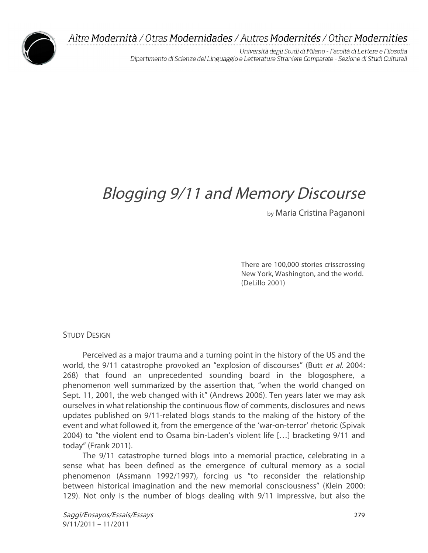

Università degli Studi di Milano - Facoltà di Lettere e Filosofia Dipartimento di Scienze del Linguaggio e Letterature Straniere Comparate - Sezione di Studi Culturali

# Blogging 9/11 and Memory Discourse

by Maria Cristina Paganoni

There are 100,000 stories crisscrossing New York, Washington, and the world. (DeLillo 2001)

**STUDY DESIGN** 

Perceived as a major trauma and a turning point in the history of the US and the world, the 9/11 catastrophe provoked an "explosion of discourses" (Butt et al. 2004: 268) that found an unprecedented sounding board in the blogosphere, a phenomenon well summarized by the assertion that, "when the world changed on Sept. 11, 2001, the web changed with it" (Andrews 2006). Ten years later we may ask ourselves in what relationship the continuous flow of comments, disclosures and news updates published on 9/11-related blogs stands to the making of the history of the event and what followed it, from the emergence of the 'war-on-terror' rhetoric (Spivak 2004) to "the violent end to Osama bin-Laden's violent life […] bracketing 9/11 and today" (Frank 2011).

The 9/11 catastrophe turned blogs into a memorial practice, celebrating in a sense what has been defined as the emergence of cultural memory as a social phenomenon (Assmann 1992/1997), forcing us "to reconsider the relationship between historical imagination and the new memorial consciousness" (Klein 2000: 129). Not only is the number of blogs dealing with 9/11 impressive, but also the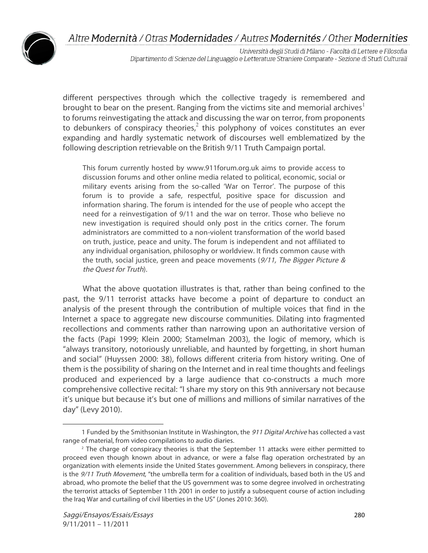

Università degli Studi di Milano - Facoltà di Lettere e Filosofia Dipartimento di Scienze del Linguaggio e Letterature Straniere Comparate - Sezione di Studi Culturali

different perspectives through which the collective tragedy is remembered and brought to bear on the present. Ranging from the victims site and memorial archives $1$ to forums reinvestigating the attack and discussing the war on terror, from proponents to debunkers of conspiracy theories, $^2$  this polyphony of voices constitutes an ever expanding and hardly systematic network of discourses well emblematized by the following description retrievable on the British 9/11 Truth Campaign portal.

This forum currently hosted by www.911forum.org.uk aims to provide access to discussion forums and other online media related to political, economic, social or military events arising from the so-called 'War on Terror'. The purpose of this forum is to provide a safe, respectful, positive space for discussion and information sharing. The forum is intended for the use of people who accept the need for a reinvestigation of 9/11 and the war on terror. Those who believe no new investigation is required should only post in the critics corner. The forum administrators are committed to a non-violent transformation of the world based on truth, justice, peace and unity. The forum is independent and not affiliated to any individual organisation, philosophy or worldview. It finds common cause with the truth, social justice, green and peace movements  $(9/11)$ , The Bigger Picture & the Quest for Truth).

What the above quotation illustrates is that, rather than being confined to the past, the 9/11 terrorist attacks have become a point of departure to conduct an analysis of the present through the contribution of multiple voices that find in the Internet a space to aggregate new discourse communities. Dilating into fragmented recollections and comments rather than narrowing upon an authoritative version of the facts (Papi 1999; Klein 2000; Stamelman 2003), the logic of memory, which is "always transitory, notoriously unreliable, and haunted by forgetting, in short human and social" (Huyssen 2000: 38), follows different criteria from history writing. One of them is the possibility of sharing on the Internet and in real time thoughts and feelings produced and experienced by a large audience that co-constructs a much more comprehensive collective recital: "I share my story on this 9th anniversary not because it's unique but because it's but one of millions and millions of similar narratives of the day" (Levy 2010).

 $\overline{a}$ 

<sup>1</sup> Funded by the Smithsonian Institute in Washington, the 911 Digital Archive has collected a vast range of material, from video compilations to audio diaries.

<sup>&</sup>lt;sup>2</sup> The charge of conspiracy theories is that the September 11 attacks were either permitted to proceed even though known about in advance, or were a false flag operation orchestrated by an organization with elements inside the United States government. Among believers in conspiracy, there is the 9/11 Truth Movement, "the umbrella term for a coalition of individuals, based both in the US and abroad, who promote the belief that the US government was to some degree involved in orchestrating the terrorist attacks of September 11th 2001 in order to justify a subsequent course of action including the Iraq War and curtailing of civil liberties in the US" (Jones 2010: 360).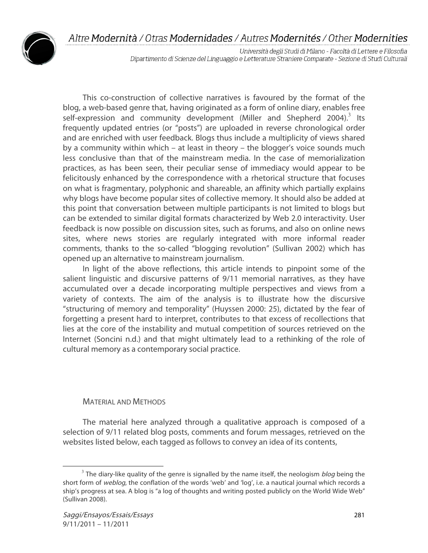

Università degli Studi di Milano - Facoltà di Lettere e Filosofia Dipartimento di Scienze del Linguaggio e Letterature Straniere Comparate - Sezione di Studi Culturali

This co-construction of collective narratives is favoured by the format of the blog, a web-based genre that, having originated as a form of online diary, enables free self-expression and community development (Miller and Shepherd 2004).<sup>3</sup> Its frequently updated entries (or "posts") are uploaded in reverse chronological order and are enriched with user feedback. Blogs thus include a multiplicity of views shared by a community within which – at least in theory – the blogger's voice sounds much less conclusive than that of the mainstream media. In the case of memorialization practices, as has been seen, their peculiar sense of immediacy would appear to be felicitously enhanced by the correspondence with a rhetorical structure that focuses on what is fragmentary, polyphonic and shareable, an affinity which partially explains why blogs have become popular sites of collective memory. It should also be added at this point that conversation between multiple participants is not limited to blogs but can be extended to similar digital formats characterized by Web 2.0 interactivity. User feedback is now possible on discussion sites, such as forums, and also on online news sites, where news stories are regularly integrated with more informal reader comments, thanks to the so-called "blogging revolution" (Sullivan 2002) which has opened up an alternative to mainstream journalism.

In light of the above reflections, this article intends to pinpoint some of the salient linguistic and discursive patterns of 9/11 memorial narratives, as they have accumulated over a decade incorporating multiple perspectives and views from a variety of contexts. The aim of the analysis is to illustrate how the discursive "structuring of memory and temporality" (Huyssen 2000: 25), dictated by the fear of forgetting a present hard to interpret, contributes to that excess of recollections that lies at the core of the instability and mutual competition of sources retrieved on the Internet (Soncini n.d.) and that might ultimately lead to a rethinking of the role of cultural memory as a contemporary social practice.

#### MATERIAL AND METHODS

The material here analyzed through a qualitative approach is composed of a selection of 9/11 related blog posts, comments and forum messages, retrieved on the websites listed below, each tagged as follows to convey an idea of its contents,

 $3$  The diary-like quality of the genre is signalled by the name itself, the neologism *blog* being the short form of weblog, the conflation of the words 'web' and 'log', i.e. a nautical journal which records a ship's progress at sea. A blog is "a log of thoughts and writing posted publicly on the World Wide Web" (Sullivan 2008).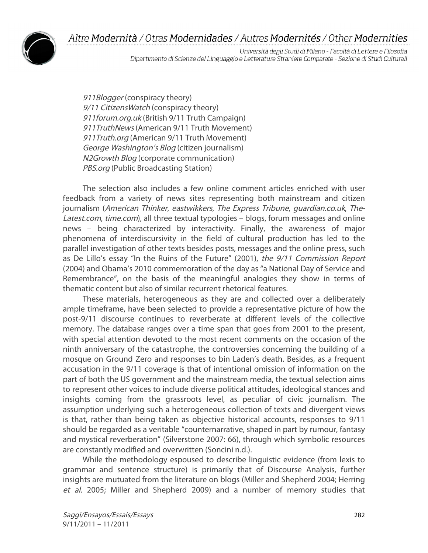

Università degli Studi di Milano - Facoltà di Lettere e Filosofia Dipartimento di Scienze del Linguaggio e Letterature Straniere Comparate - Sezione di Studi Culturali

911Blogger (conspiracy theory) 9/11 Citizens Watch (conspiracy theory) 911forum.org.uk (British 9/11 Truth Campaign) 911TruthNews (American 9/11 Truth Movement) 911Truth.org (American 9/11 Truth Movement) George Washington's Blog (citizen journalism) N2Growth Blog (corporate communication) PBS.org (Public Broadcasting Station)

The selection also includes a few online comment articles enriched with user feedback from a variety of news sites representing both mainstream and citizen journalism (American Thinker, eastwikkers, The Express Tribune, guardian.co.uk, The-Latest.com, time.com), all three textual typologies – blogs, forum messages and online news – being characterized by interactivity. Finally, the awareness of major phenomena of interdiscursivity in the field of cultural production has led to the parallel investigation of other texts besides posts, messages and the online press, such as De Lillo's essay "In the Ruins of the Future" (2001), the 9/11 Commission Report (2004) and Obama's 2010 commemoration of the day as "a National Day of Service and Remembrance", on the basis of the meaningful analogies they show in terms of thematic content but also of similar recurrent rhetorical features.

These materials, heterogeneous as they are and collected over a deliberately ample timeframe, have been selected to provide a representative picture of how the post-9/11 discourse continues to reverberate at different levels of the collective memory. The database ranges over a time span that goes from 2001 to the present, with special attention devoted to the most recent comments on the occasion of the ninth anniversary of the catastrophe, the controversies concerning the building of a mosque on Ground Zero and responses to bin Laden's death. Besides, as a frequent accusation in the 9/11 coverage is that of intentional omission of information on the part of both the US government and the mainstream media, the textual selection aims to represent other voices to include diverse political attitudes, ideological stances and insights coming from the grassroots level, as peculiar of civic journalism. The assumption underlying such a heterogeneous collection of texts and divergent views is that, rather than being taken as objective historical accounts, responses to 9/11 should be regarded as a veritable "counternarrative, shaped in part by rumour, fantasy and mystical reverberation" (Silverstone 2007: 66), through which symbolic resources are constantly modified and overwritten (Soncini n.d.).

While the methodology espoused to describe linguistic evidence (from lexis to grammar and sentence structure) is primarily that of Discourse Analysis, further insights are mutuated from the literature on blogs (Miller and Shepherd 2004; Herring et al. 2005; Miller and Shepherd 2009) and a number of memory studies that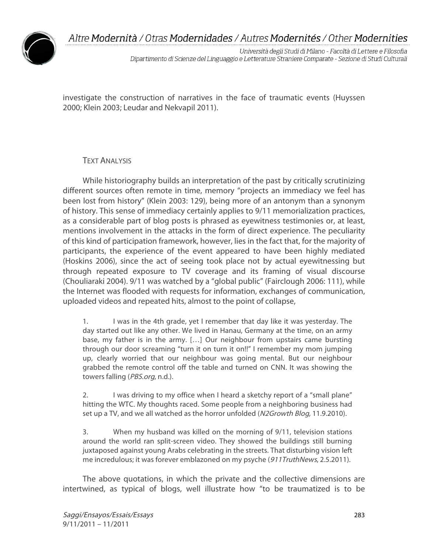

Università degli Studi di Milano - Facoltà di Lettere e Filosofia Dipartimento di Scienze del Linguaggio e Letterature Straniere Comparate - Sezione di Studi Culturali

investigate the construction of narratives in the face of traumatic events (Huyssen 2000; Klein 2003; Leudar and Nekvapil 2011).

### **TEXT ANALYSIS**

While historiography builds an interpretation of the past by critically scrutinizing different sources often remote in time, memory "projects an immediacy we feel has been lost from history" (Klein 2003: 129), being more of an antonym than a synonym of history. This sense of immediacy certainly applies to 9/11 memorialization practices, as a considerable part of blog posts is phrased as eyewitness testimonies or, at least, mentions involvement in the attacks in the form of direct experience. The peculiarity of this kind of participation framework, however, lies in the fact that, for the majority of participants, the experience of the event appeared to have been highly mediated (Hoskins 2006), since the act of seeing took place not by actual eyewitnessing but through repeated exposure to TV coverage and its framing of visual discourse (Chouliaraki 2004). 9/11 was watched by a "global public" (Fairclough 2006: 111), while the Internet was flooded with requests for information, exchanges of communication, uploaded videos and repeated hits, almost to the point of collapse,

1. I was in the 4th grade, yet I remember that day like it was yesterday. The day started out like any other. We lived in Hanau, Germany at the time, on an army base, my father is in the army. […] Our neighbour from upstairs came bursting through our door screaming "turn it on turn it on!!" I remember my mom jumping up, clearly worried that our neighbour was going mental. But our neighbour grabbed the remote control off the table and turned on CNN. It was showing the towers falling (PBS.org, n.d.).

2. I was driving to my office when I heard a sketchy report of a "small plane" hitting the WTC. My thoughts raced. Some people from a neighboring business had set up a TV, and we all watched as the horror unfolded (N2Growth Blog, 11.9.2010).

3. When my husband was killed on the morning of 9/11, television stations around the world ran split-screen video. They showed the buildings still burning juxtaposed against young Arabs celebrating in the streets. That disturbing vision left me incredulous; it was forever emblazoned on my psyche (911TruthNews, 2.5.2011).

The above quotations, in which the private and the collective dimensions are intertwined, as typical of blogs, well illustrate how "to be traumatized is to be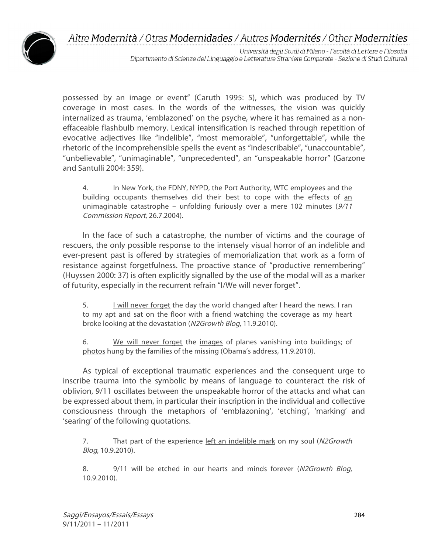

Università degli Studi di Milano - Facoltà di Lettere e Filosofia Dipartimento di Scienze del Linguaggio e Letterature Straniere Comparate - Sezione di Studi Culturali

possessed by an image or event" (Caruth 1995: 5), which was produced by TV coverage in most cases. In the words of the witnesses, the vision was quickly internalized as trauma, 'emblazoned' on the psyche, where it has remained as a noneffaceable flashbulb memory. Lexical intensification is reached through repetition of evocative adjectives like "indelible", "most memorable", "unforgettable", while the rhetoric of the incomprehensible spells the event as "indescribable", "unaccountable", "unbelievable", "unimaginable", "unprecedented", an "unspeakable horror" (Garzone and Santulli 2004: 359).

4. In New York, the FDNY, NYPD, the Port Authority, WTC employees and the building occupants themselves did their best to cope with the effects of an unimaginable catastrophe – unfolding furiously over a mere 102 minutes (9/11 Commission Report, 26.7.2004).

In the face of such a catastrophe, the number of victims and the courage of rescuers, the only possible response to the intensely visual horror of an indelible and ever-present past is offered by strategies of memorialization that work as a form of resistance against forgetfulness. The proactive stance of "productive remembering" (Huyssen 2000: 37) is often explicitly signalled by the use of the modal will as a marker of futurity, especially in the recurrent refrain "I/We will never forget".

5. I will never forget the day the world changed after I heard the news. I ran to my apt and sat on the floor with a friend watching the coverage as my heart broke looking at the devastation (N2Growth Blog, 11.9.2010).

6. We will never forget the images of planes vanishing into buildings; of photos hung by the families of the missing (Obama's address, 11.9.2010).

As typical of exceptional traumatic experiences and the consequent urge to inscribe trauma into the symbolic by means of language to counteract the risk of oblivion, 9/11 oscillates between the unspeakable horror of the attacks and what can be expressed about them, in particular their inscription in the individual and collective consciousness through the metaphors of 'emblazoning', 'etching', 'marking' and 'searing' of the following quotations.

7. That part of the experience left an indelible mark on my soul (N2Growth Blog, 10.9.2010).

8. 9/11 will be etched in our hearts and minds forever (N2Growth Blog, 10.9.2010).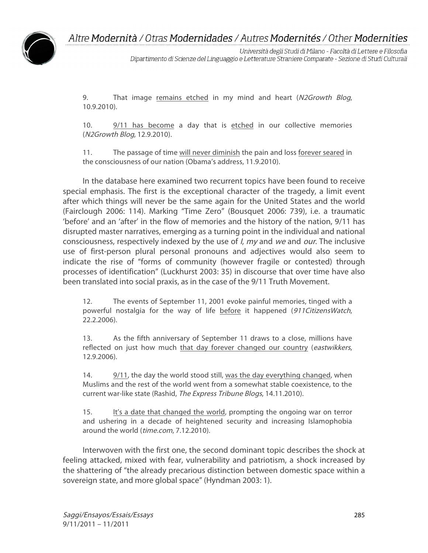

Università degli Studi di Milano - Facoltà di Lettere e Filosofia Dipartimento di Scienze del Linguaggio e Letterature Straniere Comparate - Sezione di Studi Culturali

9. That image remains etched in my mind and heart (N2Growth Blog, 10.9.2010).

10. 9/11 has become a day that is etched in our collective memories (N2Growth Blog, 12.9.2010).

11. The passage of time will never diminish the pain and loss forever seared in the consciousness of our nation (Obama's address, 11.9.2010).

In the database here examined two recurrent topics have been found to receive special emphasis. The first is the exceptional character of the tragedy, a limit event after which things will never be the same again for the United States and the world (Fairclough 2006: 114). Marking "Time Zero" (Bousquet 2006: 739), i.e. a traumatic 'before' and an 'after' in the flow of memories and the history of the nation, 9/11 has disrupted master narratives, emerging as a turning point in the individual and national consciousness, respectively indexed by the use of *I, my* and we and our. The inclusive use of first-person plural personal pronouns and adjectives would also seem to indicate the rise of "forms of community (however fragile or contested) through processes of identification" (Luckhurst 2003: 35) in discourse that over time have also been translated into social praxis, as in the case of the 9/11 Truth Movement.

12. The events of September 11, 2001 evoke painful memories, tinged with a powerful nostalgia for the way of life before it happened (911CitizensWatch, 22.2.2006).

13. As the fifth anniversary of September 11 draws to a close, millions have reflected on just how much that day forever changed our country (eastwikkers, 12.9.2006).

14. 9/11, the day the world stood still, was the day everything changed, when Muslims and the rest of the world went from a somewhat stable coexistence, to the current war-like state (Rashid, The Express Tribune Blogs, 14.11.2010).

15. It's a date that changed the world, prompting the ongoing war on terror and ushering in a decade of heightened security and increasing Islamophobia around the world (time.com, 7.12.2010).

Interwoven with the first one, the second dominant topic describes the shock at feeling attacked, mixed with fear, vulnerability and patriotism, a shock increased by the shattering of "the already precarious distinction between domestic space within a sovereign state, and more global space" (Hyndman 2003: 1).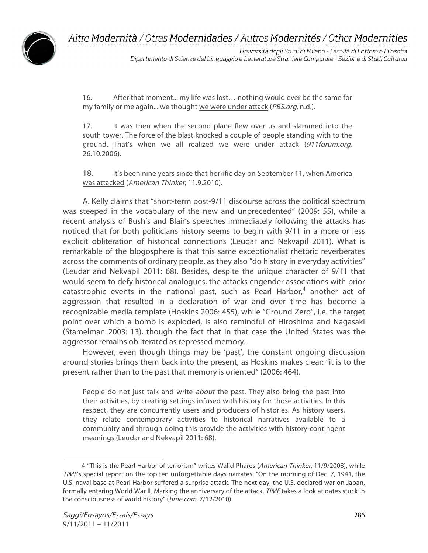

Università degli Studi di Milano - Facoltà di Lettere e Filosofia Dipartimento di Scienze del Linguaggio e Letterature Straniere Comparate - Sezione di Studi Culturali

16. After that moment... my life was lost… nothing would ever be the same for my family or me again... we thought we were under attack (PBS.org, n.d.).

17. It was then when the second plane flew over us and slammed into the south tower. The force of the blast knocked a couple of people standing with to the ground. That's when we all realized we were under attack (911forum.org, 26.10.2006).

18. It's been nine years since that horrific day on September 11, when America was attacked (American Thinker, 11.9.2010).

A. Kelly claims that "short-term post-9/11 discourse across the political spectrum was steeped in the vocabulary of the new and unprecedented" (2009: 55), while a recent analysis of Bush's and Blair's speeches immediately following the attacks has noticed that for both politicians history seems to begin with 9/11 in a more or less explicit obliteration of historical connections (Leudar and Nekvapil 2011). What is remarkable of the blogosphere is that this same exceptionalist rhetoric reverberates across the comments of ordinary people, as they also "do history in everyday activities" (Leudar and Nekvapil 2011: 68). Besides, despite the unique character of 9/11 that would seem to defy historical analogues, the attacks engender associations with prior catastrophic events in the national past, such as Pearl Harbor,<sup>4</sup> another act of aggression that resulted in a declaration of war and over time has become a recognizable media template (Hoskins 2006: 455), while "Ground Zero", i.e. the target point over which a bomb is exploded, is also remindful of Hiroshima and Nagasaki (Stamelman 2003: 13), though the fact that in that case the United States was the aggressor remains obliterated as repressed memory.

However, even though things may be 'past', the constant ongoing discussion around stories brings them back into the present, as Hoskins makes clear: "it is to the present rather than to the past that memory is oriented" (2006: 464).

People do not just talk and write *about* the past. They also bring the past into their activities, by creating settings infused with history for those activities. In this respect, they are concurrently users and producers of histories. As history users, they relate contemporary activities to historical narratives available to a community and through doing this provide the activities with history-contingent meanings (Leudar and Nekvapil 2011: 68).

 $\overline{a}$ 

<sup>4</sup> "This is the Pearl Harbor of terrorism" writes Walid Phares (American Thinker, 11/9/2008), while TIME's special report on the top ten unforgettable days narrates: "On the morning of Dec. 7, 1941, the U.S. naval base at Pearl Harbor suffered a surprise attack. The next day, the U.S. declared war on Japan, formally entering World War II. Marking the anniversary of the attack, TIME takes a look at dates stuck in the consciousness of world history" (time.com, 7/12/2010).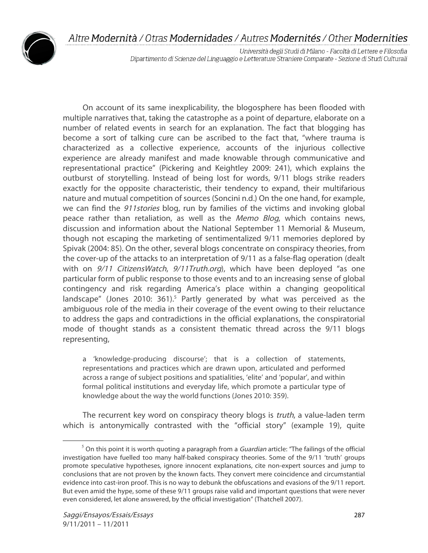

Università degli Studi di Milano - Facoltà di Lettere e Filosofia Dipartimento di Scienze del Linguaggio e Letterature Straniere Comparate - Sezione di Studi Culturali

On account of its same inexplicability, the blogosphere has been flooded with multiple narratives that, taking the catastrophe as a point of departure, elaborate on a number of related events in search for an explanation. The fact that blogging has become a sort of talking cure can be ascribed to the fact that, "where trauma is characterized as a collective experience, accounts of the injurious collective experience are already manifest and made knowable through communicative and representational practice" (Pickering and Keightley 2009: 241), which explains the outburst of storytelling. Instead of being lost for words, 9/11 blogs strike readers exactly for the opposite characteristic, their tendency to expand, their multifarious nature and mutual competition of sources (Soncini n.d.) On the one hand, for example, we can find the 911stories blog, run by families of the victims and invoking global peace rather than retaliation, as well as the Memo Blog, which contains news, discussion and information about the National September 11 Memorial & Museum, though not escaping the marketing of sentimentalized 9/11 memories deplored by Spivak (2004: 85). On the other, several blogs concentrate on conspiracy theories, from the cover-up of the attacks to an interpretation of 9/11 as a false-flag operation (dealt with on  $9/11$  CitizensWatch,  $9/11$ Truth.org), which have been deployed "as one particular form of public response to those events and to an increasing sense of global contingency and risk regarding America's place within a changing geopolitical landscape" (Jones 2010: 361). <sup>5</sup> Partly generated by what was perceived as the ambiguous role of the media in their coverage of the event owing to their reluctance to address the gaps and contradictions in the official explanations, the conspiratorial mode of thought stands as a consistent thematic thread across the 9/11 blogs representing,

a 'knowledge-producing discourse'; that is a collection of statements, representations and practices which are drawn upon, articulated and performed across a range of subject positions and spatialities, 'elite' and 'popular', and within formal political institutions and everyday life, which promote a particular type of knowledge about the way the world functions (Jones 2010: 359).

The recurrent key word on conspiracy theory blogs is *truth*, a value-laden term which is antonymically contrasted with the "official story" (example 19), quite

 $5$  On this point it is worth quoting a paragraph from a *Guardian* article: "The failings of the official investigation have fuelled too many half-baked conspiracy theories. Some of the 9/11 'truth' groups promote speculative hypotheses, ignore innocent explanations, cite non-expert sources and jump to conclusions that are not proven by the known facts. They convert mere coincidence and circumstantial evidence into cast-iron proof. This is no way to debunk the obfuscations and evasions of the 9/11 report. But even amid the hype, some of these 9/11 groups raise valid and important questions that were never even considered, let alone answered, by the official investigation" (Thatchell 2007).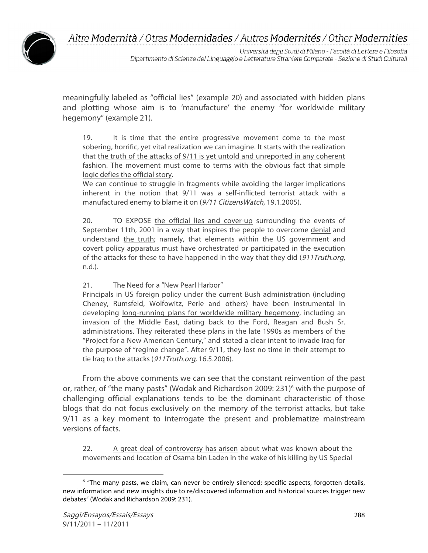

Università degli Studi di Milano - Facoltà di Lettere e Filosofia Dipartimento di Scienze del Linguaggio e Letterature Straniere Comparate - Sezione di Studi Culturali

meaningfully labeled as "official lies" (example 20) and associated with hidden plans and plotting whose aim is to 'manufacture' the enemy "for worldwide military hegemony" (example 21).

19. It is time that the entire progressive movement come to the most sobering, horrific, yet vital realization we can imagine. It starts with the realization that the truth of the attacks of 9/11 is yet untold and unreported in any coherent fashion. The movement must come to terms with the obvious fact that simple logic defies the official story.

We can continue to struggle in fragments while avoiding the larger implications inherent in the notion that 9/11 was a self-inflicted terrorist attack with a manufactured enemy to blame it on (9/11 Citizens Watch, 19.1.2005).

20. TO EXPOSE the official lies and cover-up surrounding the events of September 11th, 2001 in a way that inspires the people to overcome denial and understand the truth; namely, that elements within the US government and covert policy apparatus must have orchestrated or participated in the execution of the attacks for these to have happened in the way that they did (911Truth.org, n.d.).

21. The Need for a "New Pearl Harbor"

Principals in US foreign policy under the current Bush administration (including Cheney, Rumsfeld, Wolfowitz, Perle and others) have been instrumental in developing long-running plans for worldwide military hegemony, including an invasion of the Middle East, dating back to the Ford, Reagan and Bush Sr. administrations. They reiterated these plans in the late 1990s as members of the "Project for a New American Century," and stated a clear intent to invade Iraq for the purpose of "regime change". After 9/11, they lost no time in their attempt to tie Iraq to the attacks (911Truth.org, 16.5.2006).

From the above comments we can see that the constant reinvention of the past or, rather, of "the many pasts" (Wodak and Richardson 2009: 231)<sup>6</sup> with the purpose of challenging official explanations tends to be the dominant characteristic of those blogs that do not focus exclusively on the memory of the terrorist attacks, but take 9/11 as a key moment to interrogate the present and problematize mainstream versions of facts.

22. A great deal of controversy has arisen about what was known about the movements and location of Osama bin Laden in the wake of his killing by US Special

 $\overline{a}$ <sup>6</sup> "The many pasts, we claim, can never be entirely silenced; specific aspects, forgotten details, new information and new insights due to re/discovered information and historical sources trigger new debates" (Wodak and Richardson 2009: 231).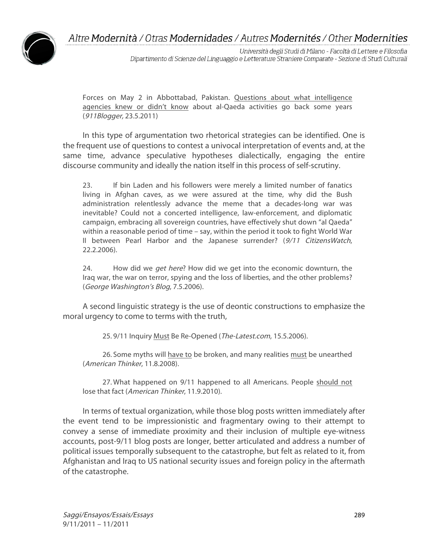

Università degli Studi di Milano - Facoltà di Lettere e Filosofia Dipartimento di Scienze del Linguaggio e Letterature Straniere Comparate - Sezione di Studi Culturali

Forces on May 2 in Abbottabad, Pakistan. Questions about what intelligence agencies knew or didn't know about al-Qaeda activities go back some years (911Blogger, 23.5.2011)

In this type of argumentation two rhetorical strategies can be identified. One is the frequent use of questions to contest a univocal interpretation of events and, at the same time, advance speculative hypotheses dialectically, engaging the entire discourse community and ideally the nation itself in this process of self-scrutiny.

23. If bin Laden and his followers were merely a limited number of fanatics living in Afghan caves, as we were assured at the time, why did the Bush administration relentlessly advance the meme that a decades-long war was inevitable? Could not a concerted intelligence, law-enforcement, and diplomatic campaign, embracing all sovereign countries, have effectively shut down "al Qaeda" within a reasonable period of time – say, within the period it took to fight World War II between Pearl Harbor and the Japanese surrender? (9/11 CitizensWatch, 22.2.2006).

24. How did we get here? How did we get into the economic downturn, the Iraq war, the war on terror, spying and the loss of liberties, and the other problems? (George Washington's Blog, 7.5.2006).

A second linguistic strategy is the use of deontic constructions to emphasize the moral urgency to come to terms with the truth,

25. 9/11 Inquiry Must Be Re-Opened (The-Latest.com, 15.5.2006).

26. Some myths will have to be broken, and many realities must be unearthed (American Thinker, 11.8.2008).

27. What happened on 9/11 happened to all Americans. People should not lose that fact (American Thinker, 11.9.2010).

In terms of textual organization, while those blog posts written immediately after the event tend to be impressionistic and fragmentary owing to their attempt to convey a sense of immediate proximity and their inclusion of multiple eye-witness accounts, post-9/11 blog posts are longer, better articulated and address a number of political issues temporally subsequent to the catastrophe, but felt as related to it, from Afghanistan and Iraq to US national security issues and foreign policy in the aftermath of the catastrophe.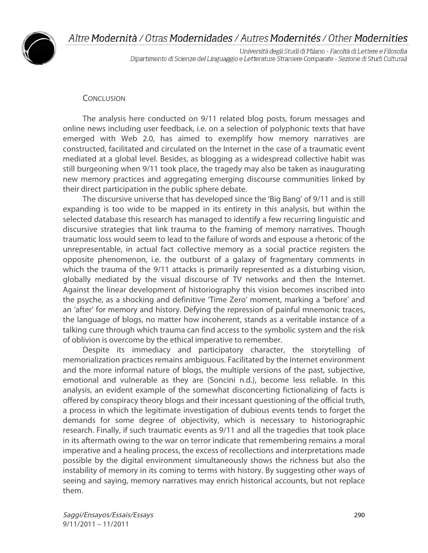

Università degli Studi di Milano - Facoltà di Lettere e Filosofia Dipartimento di Scienze del Linguaggio e Letterature Straniere Comparate - Sezione di Studi Culturali

#### **CONCLUSION**

The analysis here conducted on 9/11 related blog posts, forum messages and online news including user feedback, i.e. on a selection of polyphonic texts that have emerged with Web 2.0, has aimed to exemplify how memory narratives are constructed, facilitated and circulated on the Internet in the case of a traumatic event mediated at a global level. Besides, as blogging as a widespread collective habit was still burgeoning when 9/11 took place, the tragedy may also be taken as inaugurating new memory practices and aggregating emerging discourse communities linked by their direct participation in the public sphere debate.

The discursive universe that has developed since the 'Big Bang' of 9/11 and is still expanding is too wide to be mapped in its entirety in this analysis, but within the selected database this research has managed to identify a few recurring linguistic and discursive strategies that link trauma to the framing of memory narratives. Though traumatic loss would seem to lead to the failure of words and espouse a rhetoric of the unrepresentable, in actual fact collective memory as a social practice registers the opposite phenomenon, i.e. the outburst of a galaxy of fragmentary comments in which the trauma of the 9/11 attacks is primarily represented as a disturbing vision, globally mediated by the visual discourse of TV networks and then the Internet. Against the linear development of historiography this vision becomes inscribed into the psyche, as a shocking and definitive 'Time Zero' moment, marking a 'before' and an 'after' for memory and history. Defying the repression of painful mnemonic traces, the language of blogs, no matter how incoherent, stands as a veritable instance of a talking cure through which trauma can find access to the symbolic system and the risk of oblivion is overcome by the ethical imperative to remember.

Despite its immediacy and participatory character, the storytelling of memorialization practices remains ambiguous. Facilitated by the Internet environment and the more informal nature of blogs, the multiple versions of the past, subjective, emotional and vulnerable as they are (Soncini n.d.), become less reliable. In this analysis, an evident example of the somewhat disconcerting fictionalizing of facts is offered by conspiracy theory blogs and their incessant questioning of the official truth, a process in which the legitimate investigation of dubious events tends to forget the demands for some degree of objectivity, which is necessary to historiographic research. Finally, if such traumatic events as 9/11 and all the tragedies that took place in its aftermath owing to the war on terror indicate that remembering remains a moral imperative and a healing process, the excess of recollections and interpretations made possible by the digital environment simultaneously shows the richness but also the instability of memory in its coming to terms with history. By suggesting other ways of seeing and saying, memory narratives may enrich historical accounts, but not replace them.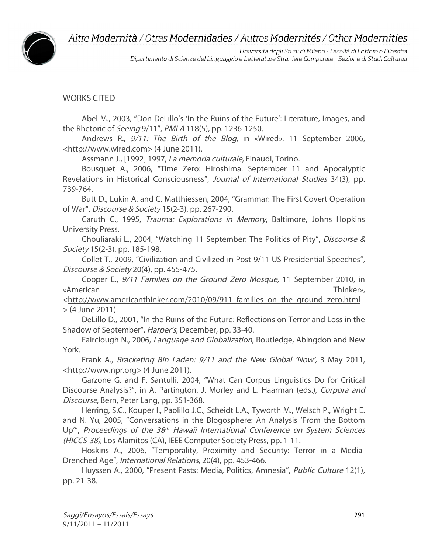

Università degli Studi di Milano - Facoltà di Lettere e Filosofia Dipartimento di Scienze del Linguaggio e Letterature Straniere Comparate - Sezione di Studi Culturali

## WORKS CITED

Abel M., 2003, "Don DeLillo's 'In the Ruins of the Future': Literature, Images, and the Rhetoric of Seeing 9/11", PMLA 118(5), pp. 1236-1250.

Andrews R., 9/11: The Birth of the Blog, in «Wired», 11 September 2006, <http://www.wired.com> (4 June 2011).

Assmann J., [1992] 1997, La memoria culturale, Einaudi, Torino.

Bousquet A., 2006, "Time Zero: Hiroshima. September 11 and Apocalyptic Revelations in Historical Consciousness", Journal of International Studies 34(3), pp. 739-764.

Butt D., Lukin A. and C. Matthiessen, 2004, "Grammar: The First Covert Operation of War", Discourse & Society 15(2-3), pp. 267-290.

Caruth C., 1995, Trauma: Explorations in Memory, Baltimore, Johns Hopkins University Press.

Chouliaraki L., 2004, "Watching 11 September: The Politics of Pity", Discourse & Society 15(2-3), pp. 185-198.

Collet T., 2009, "Civilization and Civilized in Post-9/11 US Presidential Speeches", Discourse & Society 20(4), pp. 455-475.

Cooper E., 9/11 Families on the Ground Zero Mosque, 11 September 2010, in «American Thinker»,

<http://www.americanthinker.com/2010/09/911\_families\_on\_the\_ground\_zero.html > (4 June 2011).

DeLillo D., 2001, "In the Ruins of the Future: Reflections on Terror and Loss in the Shadow of September", Harper's, December, pp. 33-40.

Fairclough N., 2006, Language and Globalization, Routledge, Abingdon and New York.

Frank A., Bracketing Bin Laden: 9/11 and the New Global 'Now', 3 May 2011, <http://www.npr.org> (4 June 2011).

Garzone G. and F. Santulli, 2004, "What Can Corpus Linguistics Do for Critical Discourse Analysis?", in A. Partington, J. Morley and L. Haarman (eds.), Corpora and Discourse, Bern, Peter Lang, pp. 351-368.

Herring, S.C., Kouper I., Paolillo J.C., Scheidt L.A., Tyworth M., Welsch P., Wright E. and N. Yu, 2005, "Conversations in the Blogosphere: An Analysis 'From the Bottom Up<sup>'"</sup>, Proceedings of the 38<sup>th</sup> Hawaii International Conference on System Sciences (HICCS-38), Los Alamitos (CA), IEEE Computer Society Press, pp. 1-11.

Hoskins A., 2006, "Temporality, Proximity and Security: Terror in a Media-Drenched Age", International Relations, 20(4), pp. 453-466.

Huyssen A., 2000, "Present Pasts: Media, Politics, Amnesia", Public Culture 12(1), pp. 21-38.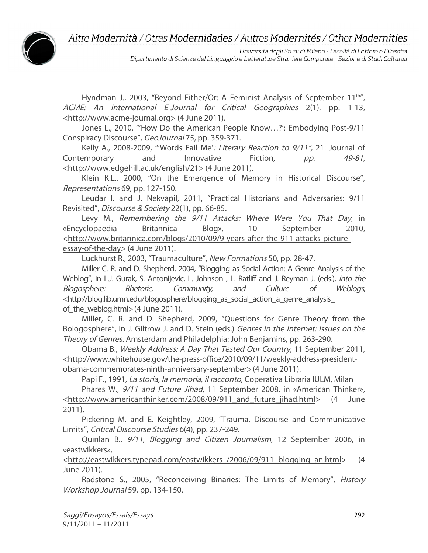

Università degli Studi di Milano - Facoltà di Lettere e Filosofia Dipartimento di Scienze del Linguaggio e Letterature Straniere Comparate - Sezione di Studi Culturali

Hyndman J., 2003, "Beyond Either/Or: A Feminist Analysis of September  $11<sup>th</sup>$ ", ACME: An International E-Journal for Critical Geographies 2(1), pp. 1-13, <http://www.acme-journal.org> (4 June 2011).

Jones L., 2010, "'How Do the American People Know…?': Embodying Post-9/11 Conspiracy Discourse", GeoJournal 75, pp. 359-371.

Kelly A., 2008-2009, "'Words Fail Me': Literary Reaction to 9/11", 21: Journal of Contemporary and Innovative Fiction, pp. 49-81, <http://www.edgehill.ac.uk/english/21> (4 June 2011).

Klein K.L., 2000, "On the Emergence of Memory in Historical Discourse", Representations 69, pp. 127-150.

Leudar I. and J. Nekvapil, 2011, "Practical Historians and Adversaries: 9/11 Revisited", Discourse & Society 22(1), pp. 66-85.

Levy M., Remembering the 9/11 Attacks: Where Were You That Day, in «Encyclopaedia Britannica Blog», 10 September 2010, <http://www.britannica.com/blogs/2010/09/9-years-after-the-911-attacks-pictureessay-of-the-day> (4 June 2011).

Luckhurst R., 2003, "Traumaculture", New Formations 50, pp. 28-47.

Miller C. R. and D. Shepherd, 2004, "Blogging as Social Action: A Genre Analysis of the Weblog", in L.J. Gurak, S. Antonijevic, L. Johnson, L. Ratliff and J. Reyman J. (eds.), Into the Blogosphere: Rhetoric, Community, and Culture of Weblogs, <http://blog.lib.umn.edu/blogosphere/blogging\_as\_social\_action\_a\_genre\_analysis\_ of the weblog.html $>$  (4 June 2011).

Miller, C. R. and D. Shepherd, 2009, "Questions for Genre Theory from the Bologosphere", in J. Giltrow J. and D. Stein (eds.) Genres in the Internet: Issues on the Theory of Genres. Amsterdam and Philadelphia: John Benjamins, pp. 263-290.

Obama B., Weekly Address: A Day That Tested Our Country, 11 September 2011, <http://www.whitehouse.gov/the-press-office/2010/09/11/weekly-address-presidentobama-commemorates-ninth-anniversary-september> (4 June 2011).

Papi F., 1991, La storia, la memoria, il racconto, Coperativa Libraria IULM, Milan

Phares W., 9/11 and Future Jihad, 11 September 2008, in «American Thinker», <http://www.americanthinker.com/2008/09/911\_and\_future\_jihad.html> (4 June 2011).

Pickering M. and E. Keightley, 2009, "Trauma, Discourse and Communicative Limits", Critical Discourse Studies 6(4), pp. 237-249.

Quinlan B., 9/11, Blogging and Citizen Journalism, 12 September 2006, in «eastwikkers»,

<http://eastwikkers.typepad.com/eastwikkers\_/2006/09/911\_blogging\_an.html> (4 June 2011).

Radstone S., 2005, "Reconceiving Binaries: The Limits of Memory", History Workshop Journal 59, pp. 134-150.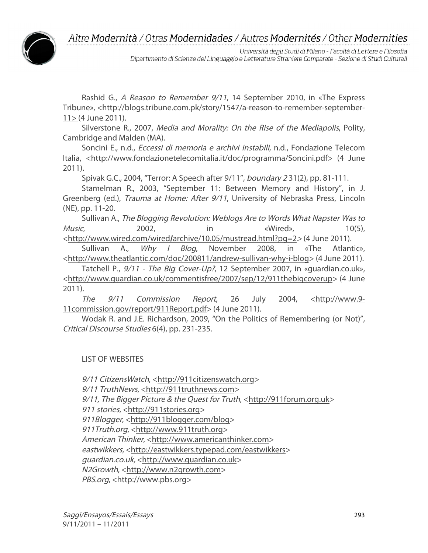

Università degli Studi di Milano - Facoltà di Lettere e Filosofia Dipartimento di Scienze del Linguaggio e Letterature Straniere Comparate - Sezione di Studi Culturali

Rashid G., A Reason to Remember 9/11, 14 September 2010, in «The Express Tribune», <http://blogs.tribune.com.pk/story/1547/a-reason-to-remember-september-11> (4 June 2011).

Silverstone R., 2007, Media and Morality: On the Rise of the Mediapolis, Polity, Cambridge and Malden (MA).

Soncini E., n.d., Eccessi di memoria e archivi instabili, n.d., Fondazione Telecom Italia, <http://www.fondazionetelecomitalia.it/doc/programma/Soncini.pdf> (4 June 2011).

Spivak G.C., 2004, "Terror: A Speech after 9/11", boundary 2 31(2), pp. 81-111.

Stamelman R., 2003, "September 11: Between Memory and History", in J. Greenberg (ed.), *Trauma at Home: After 9/11*, University of Nebraska Press, Lincoln (NE), pp. 11-20.

Sullivan A., The Blogging Revolution: Weblogs Are to Words What Napster Was to Music, 2002, in «Wired», 10(5), <http://www.wired.com/wired/archive/10.05/mustread.html?pg=2<sup>&</sup>gt; (4 June 2011).

Sullivan A., Why I Blog, November 2008, in «The Atlantic», <http://www.theatlantic.com/doc/200811/andrew-sullivan-why-i-blog> (4 June 2011).

Tatchell P., 9/11 - The Big Cover-Up?, 12 September 2007, in «guardian.co.uk», <http://www.guardian.co.uk/commentisfree/2007/sep/12/911thebigcoverup> (4 June 2011).

The 9/11 Commission Report, 26 July 2004, <http://www.9- 11commission.gov/report/911Report.pdf> (4 June 2011).

Wodak R. and J.E. Richardson, 2009, "On the Politics of Remembering (or Not)", Critical Discourse Studies 6(4), pp. 231-235.

LIST OF WEBSITES

9/11 CitizensWatch, <http://911citizenswatch.org> 9/11 TruthNews, <http://911truthnews.com> 9/11, The Bigger Picture & the Quest for Truth, <http://911forum.org.uk> 911 stories, <http://911stories.org> 911Blogger, <http://911blogger.com/blog> 911Truth.org, <http://www.911truth.org> American Thinker, <http://www.americanthinker.com> eastwikkers, <http://eastwikkers.typepad.com/eastwikkers> guardian.co.uk, <http://www.guardian.co.uk> N2Growth, <http://www.n2growth.com> PBS.org, <http://www.pbs.org>